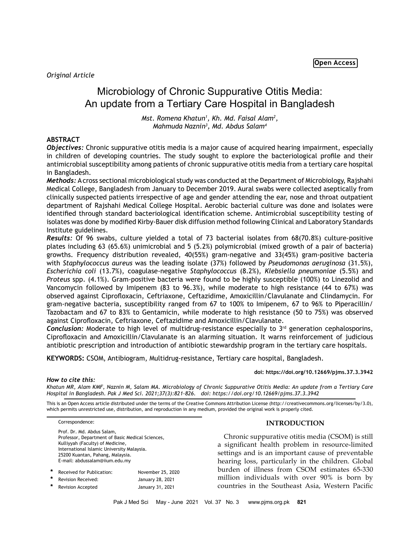# Microbiology of Chronic Suppurative Otitis Media: An update from a Tertiary Care Hospital in Bangladesh

*Mst. Romena Khatun1 , Kh. Md. Faisal Alam2 , Mahmuda Naznin3 , Md. Abdus Salam4*

# **ABSTRACT**

*Objectives:* Chronic suppurative otitis media is a major cause of acquired hearing impairment, especially in children of developing countries. The study sought to explore the bacteriological profile and their antimicrobial susceptibility among patients of chronic suppurative otitis media from a tertiary care hospital in Bangladesh.

*Methods:* A cross sectional microbiological study was conducted at the Department of Microbiology, Rajshahi Medical College, Bangladesh from January to December 2019. Aural swabs were collected aseptically from clinically suspected patients irrespective of age and gender attending the ear, nose and throat outpatient department of Rajshahi Medical College Hospital. Aerobic bacterial culture was done and isolates were identified through standard bacteriological identification scheme. Antimicrobial susceptibility testing of isolates was done by modified Kirby-Bauer disk diffusion method following Clinical and Laboratory Standards Institute guidelines.

*Results:* Of 96 swabs, culture yielded a total of 73 bacterial isolates from 68(70.8%) culture-positive plates including 63 (65.6%) unimicrobial and 5 (5.2%) polymicrobial (mixed growth of a pair of bacteria) growths. Frequency distribution revealed, 40(55%) gram-negative and 33(45%) gram-positive bacteria with *Staphylococcus aureus* was the leading isolate (37%) followed by *Pseudomonas aeruginosa* (31.5%), *Escherichia coli* (13.7%), coagulase-negative *Staphylococcus* (8.2%), *Klebsiella pneumoniae* (5.5%) and *Proteus* spp. (4.1%). Gram-positive bacteria were found to be highly susceptible (100%) to Linezolid and Vancomycin followed by Imipenem (83 to 96.3%), while moderate to high resistance (44 to 67%) was observed against Ciprofloxacin, Ceftriaxone, Ceftazidime, Amoxicillin/Clavulanate and Clindamycin. For gram-negative bacteria, susceptibility ranged from 67 to 100% to Imipenem, 67 to 96% to Piperacillin/ Tazobactam and 67 to 83% to Gentamicin, while moderate to high resistance (50 to 75%) was observed against Ciprofloxacin, Ceftriaxone, Ceftazidime and Amoxicillin/Clavulanate.

**Conclusion:** Moderate to high level of multidrug-resistance especially to 3<sup>rd</sup> generation cephalosporins, Ciprofloxacin and Amoxicillin/Clavulanate is an alarming situation. It warns reinforcement of judicious antibiotic prescription and introduction of antibiotic stewardship program in the tertiary care hospitals.

**KEYWORDS:** CSOM, Antibiogram, Multidrug-resistance, Tertiary care hospital, Bangladesh.

# **doi: https://doi.org/10.12669/pjms.37.3.3942**

## *How to cite this:*

*Khatun MR, Alam KMF, Naznin M, Salam MA. Microbiology of Chronic Suppurative Otitis Media: An update from a Tertiary Care Hospital in Bangladesh. Pak J Med Sci. 2021;37(3):821-826. doi: https://doi.org/10.12669/pjms.37.3.3942*

This is an Open Access article distributed under the terms of the Creative Commons Attribution License (http://creativecommons.org/licenses/by/3.0), which permits unrestricted use, distribution, and reproduction in any medium, provided the original work is properly cited.

Correspondence:

Prof. Dr. Md. Abdus Salam, Professor, Department of Basic Medical Sciences, Kulliyyah (Faculty) of Medicine, International Islamic University Malaysia. 25200 Kuantan, Pahang, Malaysia. E-mail: [abdussalam@iium.edu.my](mailto:abdussalam@iium.edu.my)

| * | Received for Publication: | November 25, 2020 |
|---|---------------------------|-------------------|
| * | Revision Received:        | January 28, 2021  |
| * | <b>Revision Accepted</b>  | January 31, 2021  |

# **INTRODUCTION**

Chronic suppurative otitis media (CSOM) is still a significant health problem in resource-limited settings and is an important cause of preventable hearing loss, particularly in the children. Global burden of illness from CSOM estimates 65-330 million individuals with over 90% is born by countries in the Southeast Asia, Western Pacific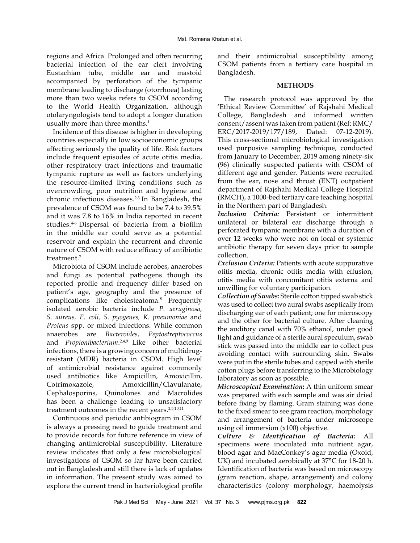regions and Africa. Prolonged and often recurring bacterial infection of the ear cleft involving Eustachian tube, middle ear and mastoid accompanied by perforation of the tympanic membrane leading to discharge (otorrhoea) lasting more than two weeks refers to CSOM according to the World Health Organization, although otolaryngologists tend to adopt a longer duration usually more than three months.<sup>1</sup>

Incidence of this disease is higher in developing countries especially in low socioeconomic groups affecting seriously the quality of life. Risk factors include frequent episodes of acute otitis media, other respiratory tract infections and traumatic tympanic rupture as well as factors underlying the resource-limited living conditions such as overcrowding, poor nutrition and hygiene and chronic infectious diseases.<sup>2,3</sup> In Bangladesh, the prevalence of CSOM was found to be 7.4 to 39.5% and it was 7.8 to 16% in India reported in recent studies.4-6 Dispersal of bacteria from a biofilm in the middle ear could serve as a potential reservoir and explain the recurrent and chronic nature of CSOM with reduce efficacy of antibiotic treatment.<sup>7</sup>

Microbiota of CSOM include aerobes, anaerobes and fungi as potential pathogens though its reported profile and frequency differ based on patient's age, geography and the presence of complications like cholesteatoma.<sup>8</sup> Frequently isolated aerobic bacteria include *P. aeruginosa, S. aureus, E. coli, S. pyogenes, K. pneumoniae* and *Proteus* spp. or mixed infections. While common anaerobes are *Bacteroides*, *Peptostreptococcus*  and *Propionibacterium*.<sup>2,4,9</sup> Like other bacterial infections, there is a growing concern of multidrugresistant (MDR) bacteria in CSOM. High level of antimicrobial resistance against commonly used antibiotics like Ampicillin, Amoxicillin, Cotrimoxazole, Amoxicillin/Clavulanate, Cephalosporins, Quinolones and Macrolides has been a challenge leading to unsatisfactory treatment outcomes in the recent years.<sup>2,5,10,11</sup>

Continuous and periodic antibiogram in CSOM is always a pressing need to guide treatment and to provide records for future reference in view of changing antimicrobial susceptibility. Literature review indicates that only a few microbiological investigations of CSOM so far have been carried out in Bangladesh and still there is lack of updates in information. The present study was aimed to explore the current trend in bacteriological profile and their antimicrobial susceptibility among CSOM patients from a tertiary care hospital in Bangladesh.

## **METHODS**

The research protocol was approved by the 'Ethical Review Committee' of Rajshahi Medical College, Bangladesh and informed written consent/assent was taken from patient (Ref: RMC/ ERC/2017-2019/177/189, Dated: 07-12-2019). This cross-sectional microbiological investigation used purposive sampling technique, conducted from January to December, 2019 among ninety-six (96) clinically suspected patients with CSOM of different age and gender. Patients were recruited from the ear, nose and throat (ENT) outpatient department of Rajshahi Medical College Hospital (RMCH), a 1000-bed tertiary care teaching hospital in the Northern part of Bangladesh.

*Inclusion Criteria:* Persistent or intermittent unilateral or bilateral ear discharge through a perforated tympanic membrane with a duration of over 12 weeks who were not on local or systemic antibiotic therapy for seven days prior to sample collection.

*Exclusion Criteria:* Patients with acute suppurative otitis media, chronic otitis media with effusion, otitis media with concomitant otitis externa and unwilling for voluntary participation.

*Collection of Swabs:* Sterile cotton tipped swab stick was used to collect two aural swabs aseptically from discharging ear of each patient; one for microscopy and the other for bacterial culture. After cleaning the auditory canal with 70% ethanol, under good light and guidance of a sterile aural speculum, swab stick was passed into the middle ear to collect pus avoiding contact with surrounding skin. Swabs were put in the sterile tubes and capped with sterile cotton plugs before transferring to the Microbiology laboratory as soon as possible.

*Microscopical Examination***:** A thin uniform smear was prepared with each sample and was air dried before fixing by flaming. Gram staining was done to the fixed smear to see gram reaction, morphology and arrangement of bacteria under microscope using oil immersion (x100) objective.

*Culture & Identification of Bacteria:* All specimens were inoculated into nutrient agar, blood agar and MacConkey's agar media (Oxoid, UK) and incubated aerobically at 37°C for 18-20 h. Identification of bacteria was based on microscopy (gram reaction, shape, arrangement) and colony characteristics (colony morphology, haemolysis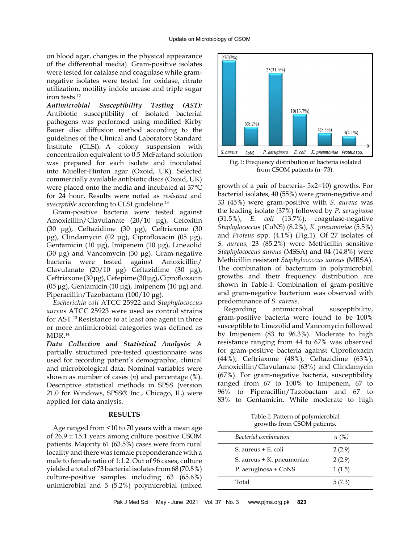on blood agar, changes in the physical appearance of the differential media). Gram-positive isolates were tested for catalase and coagulase while gramnegative isolates were tested for oxidase, citrate utilization, motility indole urease and triple sugar iron tests.12

*Antimicrobial Susceptibility Testing (AST):*  Antibiotic susceptibility of isolated bacterial pathogens was performed using modified Kirby Bauer disc diffusion method according to the guidelines of the Clinical and Laboratory Standard Institute (CLSI). A colony suspension with concentration equivalent to 0.5 McFarland solution was prepared for each isolate and inoculated into Mueller-Hinton agar (Oxoid, UK). Selected commercially available antibiotic discs (Oxoid, UK) were placed onto the media and incubated at 37°C for 24 hour. Results were noted as *resistant* and *susceptible* according to CLSI guideline.<sup>13</sup>

Gram-positive bacteria were tested against Amoxicillin/Clavulanate (20/10 μg), Cefoxitin (30 μg), Ceftazidime (30 μg), Ceftriaxone (30 μg), Clindamycin (02 μg), Ciprofloxacin (05 μg), Gentamicin (10 μg), Imipenem (10 μg), Linezolid (30 μg) and Vancomycin (30 μg). Gram-negative bacteria were tested against Amoxicillin/ Clavulanate (20/10 μg) Ceftazidime (30 μg), Ceftriaxone (30 μg), Cefepime (30 μg), Ciprofloxacin (05 μg), Gentamicin (10 μg), Imipenem (10 μg) and Piperacillin/Tazobactam (100/10 μg).

*Escherichia coli* ATCC 25922 and *Staphylococcus aureus* ATCC 25923 were used as control strains for AST.<sup>13</sup>Resistance to at least one agent in three or more antimicrobial categories was defined as MDR.<sup>14</sup>

*Data Collection and Statistical Analysis:* A partially structured pre-tested questionnaire was used for recording patient's demographic, clinical and microbiological data. Nominal variables were shown as number of cases (*n*) and percentage (%). Descriptive statistical methods in SPSS (version 21.0 for Windows, SPSS® Inc., Chicago, IL) were applied for data analysis.

## **RESULTS**

Age ranged from <10 to 70 years with a mean age of 26.9 ± 15.1 years among culture positive CSOM patients. Majority 61 (63.5%) cases were from rural locality and there was female preponderance with a male to female ratio of 1:1.2. Out of 96 cases, culture yielded a total of 73 bacterial isolates from 68 (70.8%) culture-positive samples including 63 (65.6%) unimicrobial and 5 (5.2%) polymicrobial (mixed



Fig.1: Frequency distribution of bacteria isolated from CSOM patients (n=73).

growth of a pair of bacteria- 5x2=10) growths. For bacterial isolates, 40 (55%) were gram-negative and 33 (45%) were gram-positive with *S. aureus* was the leading isolate (37%) followed by *P. aeruginosa* (31.5%), *E. coli* (13.7%), coagulase-negative *Staphylococcus* (CoNS) (8.2%), *K. pneumoniae* (5.5%) and *Proteus* spp. (4.1%) (Fig.1). Of 27 isolates of *S. aureus,* 23 (85.2%) were Methicillin sensitive *Staphylococcus aureus* (MSSA) and 04 (14.8%) were Methicillin resistant *Staphylococcus aureus* (MRSA). The combination of bacterium in polymicrobial growths and their frequency distribution are shown in Table-I. Combination of gram-positive and gram-negative bacterium was observed with predominance of *S. aureus*.

Regarding antimicrobial susceptibility, gram-positive bacteria were found to be 100% susceptible to Linezolid and Vancomycin followed by Imipenem (83 to 96.3%). Moderate to high resistance ranging from 44 to 67% was observed for gram-positive bacteria against Ciprofloxacin (44%), Ceftriaxone (48%), Ceftazidime (63%), Amoxicillin/Clavulanate (63%) and Clindamycin (67%). For gram-negative bacteria, susceptibility ranged from 67 to 100% to Imipenem, 67 to 96% to Piperacillin/Tazobactam and 67 to 83% to Gentamicin. While moderate to high

Table-I: Pattern of polymicrobial growths from CSOM patients.

| $n(\%)$ |
|---------|
| 2(2.9)  |
| 2(2.9)  |
| 1(1.5)  |
| 5(7.3)  |
|         |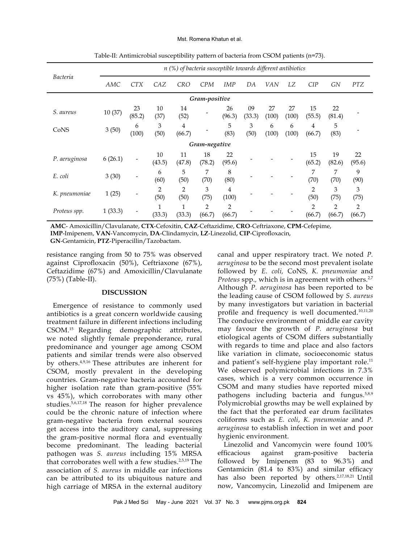#### Mst. Romena Khatun et al.

|                 | $n$ (%) of bacteria susceptible towards different antibiotics |                              |              |              |              |              |              |             |             |              |              |              |
|-----------------|---------------------------------------------------------------|------------------------------|--------------|--------------|--------------|--------------|--------------|-------------|-------------|--------------|--------------|--------------|
| <b>Bacteria</b> | AMC                                                           | <b>CTX</b>                   | CAZ          | <b>CRO</b>   | <b>CPM</b>   | <b>IMP</b>   | DA           | VAN         | LZ          | CIP          | GN           | <b>PTZ</b>   |
| Gram-positive   |                                                               |                              |              |              |              |              |              |             |             |              |              |              |
| S. aureus       | 10(37)                                                        | 23<br>(85.2)                 | 10<br>(37)   | 14<br>(52)   |              | 26<br>(96.3) | 09<br>(33.3) | 27<br>(100) | 27<br>(100) | 15<br>(55.5) | 22<br>(81.4) |              |
| CoNS            | 3(50)                                                         | 6<br>(100)                   | 3<br>(50)    | 4<br>(66.7)  |              | 5<br>(83)    | 3<br>(50)    | 6<br>(100)  | 6<br>(100)  | 4<br>(66.7)  | 5<br>(83)    |              |
| Gram-negative   |                                                               |                              |              |              |              |              |              |             |             |              |              |              |
| P. aeruginosa   | 6(26.1)                                                       | -                            | 10<br>(43.5) | 11<br>(47.8) | 18<br>(78.2) | 22<br>(95.6) |              |             |             | 15<br>(65.2) | 19<br>(82.6) | 22<br>(95.6) |
| E. coli         | 3(30)                                                         | $\qquad \qquad \blacksquare$ | 6<br>(60)    | 5<br>(50)    | 7<br>(70)    | 8<br>(80)    |              |             |             | 7<br>(70)    | 7<br>(70)    | 9<br>(90)    |
| K. pneumoniae   | 1(25)                                                         | -                            | 2<br>(50)    | 2<br>(50)    | 3<br>(75)    | 4<br>(100)   |              |             |             | 2<br>(50)    | 3<br>(75)    | 3<br>(75)    |
| Proteus spp.    | 1(33.3)                                                       |                              | (33.3)       | 1<br>(33.3)  | 2<br>(66.7)  | 2<br>(66.7)  |              |             |             | 2<br>(66.7)  | 2<br>(66.7)  | 2<br>(66.7)  |

Table-II: Antimicrobial susceptibility pattern of bacteria from CSOM patients (n=73).

**AMC**- Amoxicillin/Clavulanate, **CTX**-Cefoxitin, **CAZ**-Ceftazidime, **CRO**-Ceftriaxone, **CPM**-Cefepime, **IMP**-Imipenem, **VAN**-Vancomycin, **DA**-Clindamycin, **LZ**-Linezolid, **CIP**-Ciprofloxacin, **GN**-Gentamicin, **PTZ**-Piperacillin/Tazobactam.

resistance ranging from 50 to 75% was observed against Ciprofloxacin (50%), Ceftriaxone (67%), Ceftazidime (67%) and Amoxicillin/Clavulanate (75%) (Table-II).

## **DISCUSSION**

Emergence of resistance to commonly used antibiotics is a great concern worldwide causing treatment failure in different infections including CSOM.15 Regarding demographic attributes, we noted slightly female preponderance, rural predominance and younger age among CSOM patients and similar trends were also observed by others.4,9,16 These attributes are inherent for CSOM, mostly prevalent in the developing countries. Gram-negative bacteria accounted for higher isolation rate than gram-positive (55% vs 45%), which corroborates with many other studies.5,6,17,18 The reason for higher prevalence could be the chronic nature of infection where gram-negative bacteria from external sources get access into the auditory canal, suppressing the gram-positive normal flora and eventually become predominant. The leading bacterial pathogen was *S. aureus* including 15% MRSA that corroborates well with a few studies.<sup>2,5,19</sup> The association of *S. aureus* in middle ear infections can be attributed to its ubiquitous nature and high carriage of MRSA in the external auditory

canal and upper respiratory tract. We noted *P. aeruginosa* to be the second most prevalent isolate followed by *E. coli,* CoNS, *K. pneumoniae* and *Proteus* spp.*,* which is in agreement with others.2,7 Although *P. aeruginosa* has been reported to be the leading cause of CSOM followed by *S. aureus*  by many investigators but variation in bacterial profile and frequency is well documented.<sup>10,11,20</sup> The conducive environment of middle ear cavity may favour the growth of *P. aeruginosa* but etiological agents of CSOM differs substantially with regards to time and place and also factors like variation in climate, socioeconomic status and patient's self-hygiene play important role.<sup>11</sup> We observed polymicrobial infections in 7.3% cases, which is a very common occurrence in CSOM and many studies have reported mixed pathogens including bacteria and fungus.5,8,9 Polymicrobial growths may be well explained by the fact that the perforated ear drum facilitates coliforms such as *E. coli*, *K. pneumoniae* and *P. aeruginosa* to establish infection in wet and poor hygienic environment.

Linezolid and Vancomycin were found 100% efficacious against gram-positive bacteria followed by Imipenem (83 to 96.3%) and Gentamicin (81.4 to 83%) and similar efficacy has also been reported by others.<sup>2,17,18,21</sup> Until now, Vancomycin, Linezolid and Imipenem are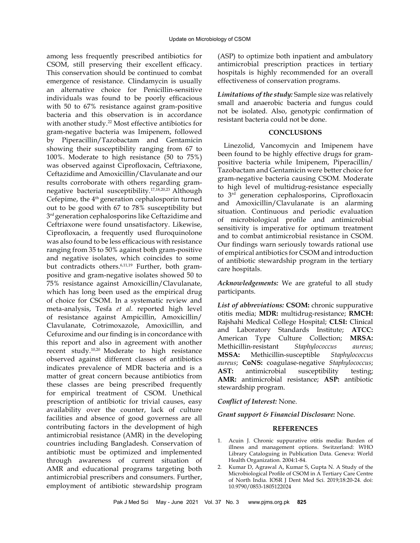among less frequently prescribed antibiotics for CSOM, still preserving their excellent efficacy. This conservation should be continued to combat emergence of resistance. Clindamycin is usually an alternative choice for Penicillin-sensitive individuals was found to be poorly efficacious with 50 to 67% resistance against gram-positive bacteria and this observation is in accordance with another study.<sup>22</sup> Most effective antibiotics for gram-negative bacteria was Imipenem, followed by Piperacillin/Tazobactam and Gentamicin showing their susceptibility ranging from 67 to 100%. Moderate to high resistance (50 to 75%) was observed against Ciprofloxacin, Ceftriaxone, Ceftazidime and Amoxicillin/Clavulanate and our results corroborate with others regarding gramnegative bacterial susceptibility.17,18,20,23 Although Cefepime, the 4<sup>th</sup> generation cephalosporin turned out to be good with 67 to 78% susceptibility but 3<sup>rd</sup> generation cephalosporins like Ceftazidime and Ceftriaxone were found unsatisfactory. Likewise, Ciprofloxacin, a frequently used fluroquinolone was also found to be less efficacious with resistance ranging from 35 to 50% against both gram-positive and negative isolates, which coincides to some but contradicts others.<sup>6,11,19</sup> Further, both grampositive and gram-negative isolates showed 50 to 75% resistance against Amoxicillin/Clavulanate, which has long been used as the empirical drug of choice for CSOM. In a systematic review and meta-analysis, [Tesfa](https://www.ncbi.nlm.nih.gov/pubmed/?term=Tesfa%20T%5BAuthor%5D&cauthor=true&cauthor_uid=32183752) *et al.* reported high level of resistance against Ampicillin, Amoxicillin/ Clavulanate, Cotrimoxazole, Amoxicillin, and Cefuroxime and our finding is in concordance with this report and also in agreement with another recent study.10,20 Moderate to high resistance observed against different classes of antibiotics indicates prevalence of MDR bacteria and is a matter of great concern because antibiotics from these classes are being prescribed frequently for empirical treatment of CSOM. Unethical prescription of antibiotic for trivial causes, easy availability over the counter, lack of culture facilities and absence of good governess are all contributing factors in the development of high antimicrobial resistance (AMR) in the developing countries including Bangladesh. Conservation of antibiotic must be optimized and implemented through awareness of current situation of AMR and educational programs targeting both antimicrobial prescribers and consumers. Further, employment of antibiotic stewardship program

(ASP) to optimize both inpatient and ambulatory antimicrobial prescription practices in tertiary hospitals is highly recommended for an overall effectiveness of conservation programs.

*Limitations of the study:* Sample size was relatively small and anaerobic bacteria and fungus could not be isolated. Also, genotypic confirmation of resistant bacteria could not be done.

# **CONCLUSIONS**

Linezolid, Vancomycin and Imipenem have been found to be highly effective drugs for grampositive bacteria while Imipenem, Piperacillin/ Tazobactam and Gentamicin were better choice for gram-negative bacteria causing CSOM. Moderate to high level of multidrug-resistance especially to 3rd generation cephalosporins, Ciprofloxacin and Amoxicillin/Clavulanate is an alarming situation. Continuous and periodic evaluation of microbiological profile and antimicrobial sensitivity is imperative for optimum treatment and to combat antimicrobial resistance in CSOM. Our findings warn seriously towards rational use of empirical antibiotics for CSOM and introduction of antibiotic stewardship program in the tertiary care hospitals.

*Acknowledgements:* We are grateful to all study participants.

*List of abbreviations:* **CSOM:** chronic suppurative otitis media; **MDR:** multidrug-resistance; **RMCH:**  Rajshahi Medical College Hospital; **CLSI:** Clinical and Laboratory Standards Institute; **ATCC:** American Type Culture Collection; **MRSA:** Methicillin-resistant *Staphylococcus aureus*; **MSSA:** Methicillin-susceptible *Staphylococcus aureus*; **CoNS:** coagulase-negative *Staphylococcus*; **AST:** antimicrobial susceptibility testing; **AMR:** antimicrobial resistance; **ASP:** antibiotic stewardship program.

# *Conflict of Interest:* None.

*Grant support & Financial Disclosure:* None.

## **REFERENCES**

- 1. [Acuin J. Chronic suppurative otitis media: Burden of](http://www.who.int/pbd/publications/Chronicsuppurativeotitis_media.pdf)  [illness and management options. Switzerland: WHO](http://www.who.int/pbd/publications/Chronicsuppurativeotitis_media.pdf)  [Library Cataloguing in Publication Data. Geneva: World](http://www.who.int/pbd/publications/Chronicsuppurativeotitis_media.pdf)  [Health Organization. 2004:1-84.](http://www.who.int/pbd/publications/Chronicsuppurativeotitis_media.pdf)
- Kumar D, Agrawal A, Kumar S, Gupta N. A Study of the Microbiological Profile of CSOM in A Tertiary Care Centre of North India. IOSR J Dent Med Sci. 2019;18:20-24. doi: [10.9790/0853-1805122024](https://doi.org/10.9790/0853-1805122024)

Pak J Med Sci May - June 2021 Vol. 37 No. 3 www.pjms.org.pk **825**